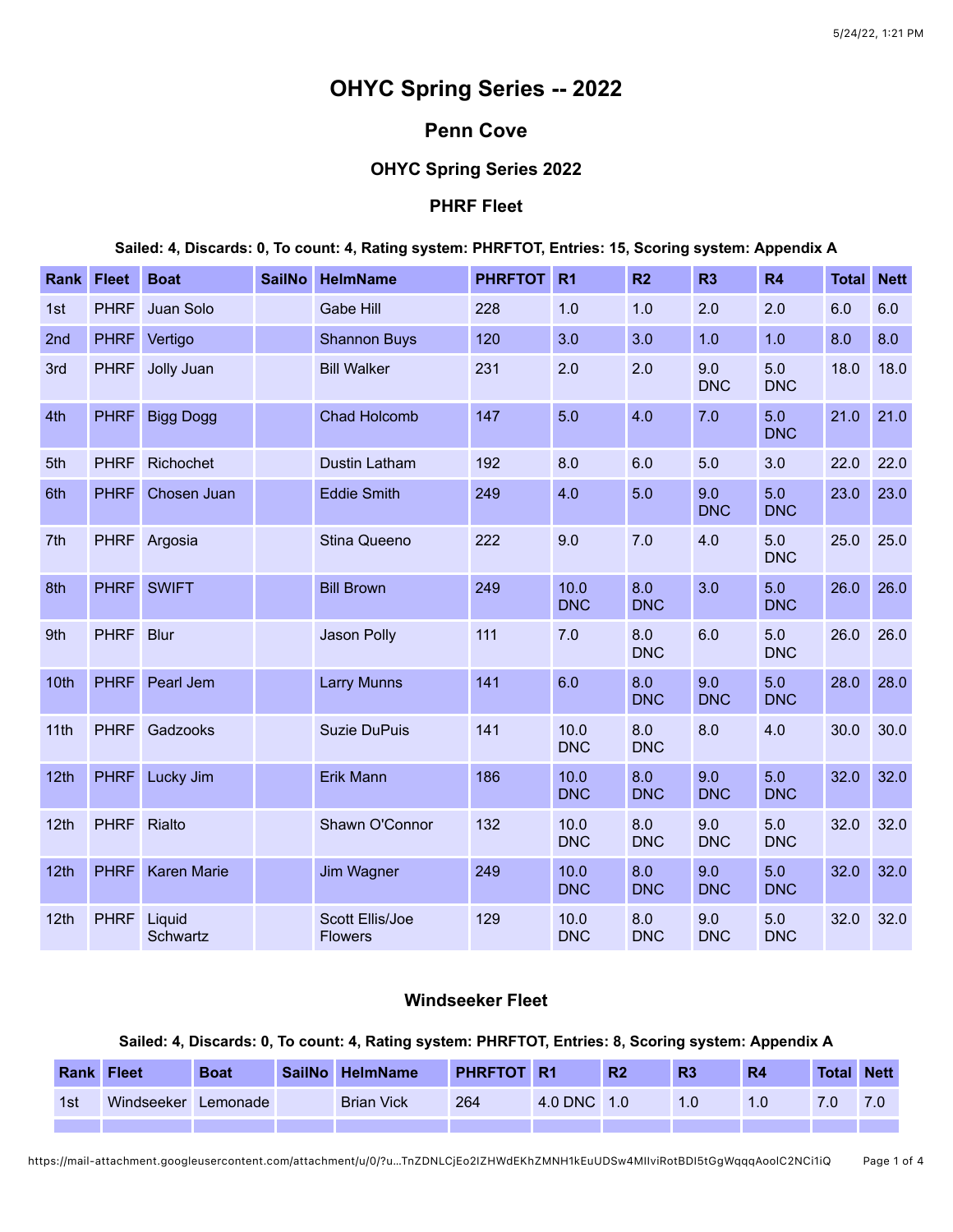# **OHYC Spring Series -- 2022**

## **Penn Cove**

## **OHYC Spring Series 2022**

## **PHRF Fleet**

**Sailed: 4, Discards: 0, To count: 4, Rating system: PHRFTOT, Entries: 15, Scoring system: Appendix A**

| Rank | <b>Fleet</b> | <b>Boat</b>        | <b>SailNo</b> | <b>HelmName</b>                   | <b>PHRFTOT</b> | R <sub>1</sub>     | R <sub>2</sub>    | R <sub>3</sub>    | R4                | <b>Total</b> | <b>Nett</b> |
|------|--------------|--------------------|---------------|-----------------------------------|----------------|--------------------|-------------------|-------------------|-------------------|--------------|-------------|
| 1st  | <b>PHRF</b>  | Juan Solo          |               | <b>Gabe Hill</b>                  | 228            | 1.0                | 1.0               | 2.0               | 2.0               | 6.0          | 6.0         |
| 2nd  | <b>PHRF</b>  | Vertigo            |               | <b>Shannon Buys</b>               | 120            | 3.0                | 3.0               | 1.0               | 1.0               | 8.0          | 8.0         |
| 3rd  | <b>PHRF</b>  | Jolly Juan         |               | <b>Bill Walker</b>                | 231            | 2.0                | 2.0               | 9.0<br><b>DNC</b> | 5.0<br><b>DNC</b> | 18.0         | 18.0        |
| 4th  | <b>PHRF</b>  | <b>Bigg Dogg</b>   |               | <b>Chad Holcomb</b>               | 147            | 5.0                | 4.0               | 7.0               | 5.0<br><b>DNC</b> | 21.0         | 21.0        |
| 5th  | <b>PHRF</b>  | Richochet          |               | Dustin Latham                     | 192            | 8.0                | 6.0               | 5.0               | 3.0               | 22.0         | 22.0        |
| 6th  | <b>PHRF</b>  | Chosen Juan        |               | <b>Eddie Smith</b>                | 249            | 4.0                | 5.0               | 9.0<br><b>DNC</b> | 5.0<br><b>DNC</b> | 23.0         | 23.0        |
| 7th  | <b>PHRF</b>  | Argosia            |               | Stina Queeno                      | 222            | 9.0                | 7.0               | 4.0               | 5.0<br><b>DNC</b> | 25.0         | 25.0        |
| 8th  | <b>PHRF</b>  | <b>SWIFT</b>       |               | <b>Bill Brown</b>                 | 249            | 10.0<br><b>DNC</b> | 8.0<br><b>DNC</b> | 3.0               | 5.0<br><b>DNC</b> | 26.0         | 26.0        |
| 9th  | <b>PHRF</b>  | <b>Blur</b>        |               | Jason Polly                       | 111            | 7.0                | 8.0<br><b>DNC</b> | 6.0               | 5.0<br><b>DNC</b> | 26.0         | 26.0        |
| 10th | <b>PHRF</b>  | Pearl Jem          |               | <b>Larry Munns</b>                | 141            | 6.0                | 8.0<br><b>DNC</b> | 9.0<br><b>DNC</b> | 5.0<br><b>DNC</b> | 28.0         | 28.0        |
| 11th | <b>PHRF</b>  | Gadzooks           |               | <b>Suzie DuPuis</b>               | 141            | 10.0<br><b>DNC</b> | 8.0<br><b>DNC</b> | 8.0               | 4.0               | 30.0         | 30.0        |
| 12th | <b>PHRF</b>  | Lucky Jim          |               | Erik Mann                         | 186            | 10.0<br><b>DNC</b> | 8.0<br><b>DNC</b> | 9.0<br><b>DNC</b> | 5.0<br><b>DNC</b> | 32.0         | 32.0        |
| 12th | <b>PHRF</b>  | Rialto             |               | Shawn O'Connor                    | 132            | 10.0<br><b>DNC</b> | 8.0<br><b>DNC</b> | 9.0<br><b>DNC</b> | 5.0<br><b>DNC</b> | 32.0         | 32.0        |
| 12th | <b>PHRF</b>  | <b>Karen Marie</b> |               | Jim Wagner                        | 249            | 10.0<br><b>DNC</b> | 8.0<br><b>DNC</b> | 9.0<br><b>DNC</b> | 5.0<br><b>DNC</b> | 32.0         | 32.0        |
| 12th | <b>PHRF</b>  | Liquid<br>Schwartz |               | Scott Ellis/Joe<br><b>Flowers</b> | 129            | 10.0<br><b>DNC</b> | 8.0<br><b>DNC</b> | 9.0<br><b>DNC</b> | 5.0<br><b>DNC</b> | 32.0         | 32.0        |

## **Windseeker Fleet**

#### **Sailed: 4, Discards: 0, To count: 4, Rating system: PHRFTOT, Entries: 8, Scoring system: Appendix A**

| <b>Rank</b> | <b>Fleet</b> | <b>Boat</b> | <b>SailNo</b> | <b>HelmName</b>   | <b>PHRFTOT</b> | ∵ R1        | R <sub>2</sub> | R <sub>3</sub> | R4 | <b>Total</b> | <b>Nett</b> |
|-------------|--------------|-------------|---------------|-------------------|----------------|-------------|----------------|----------------|----|--------------|-------------|
| 1st         | Windseeker   | Lemonade    |               | <b>Brian Vick</b> | 264            | 4.0 DNC 1.0 |                |                |    |              |             |
|             |              |             |               |                   |                |             |                |                |    |              |             |

https://mail-attachment.googleusercontent.com/attachment/u/0/?u…TnZDNLCjEo2IZHWdEKhZMNH1kEuUDSw4MIIviRotBDI5tGgWqqqAoolC2NCi1iQ Page 1 of 4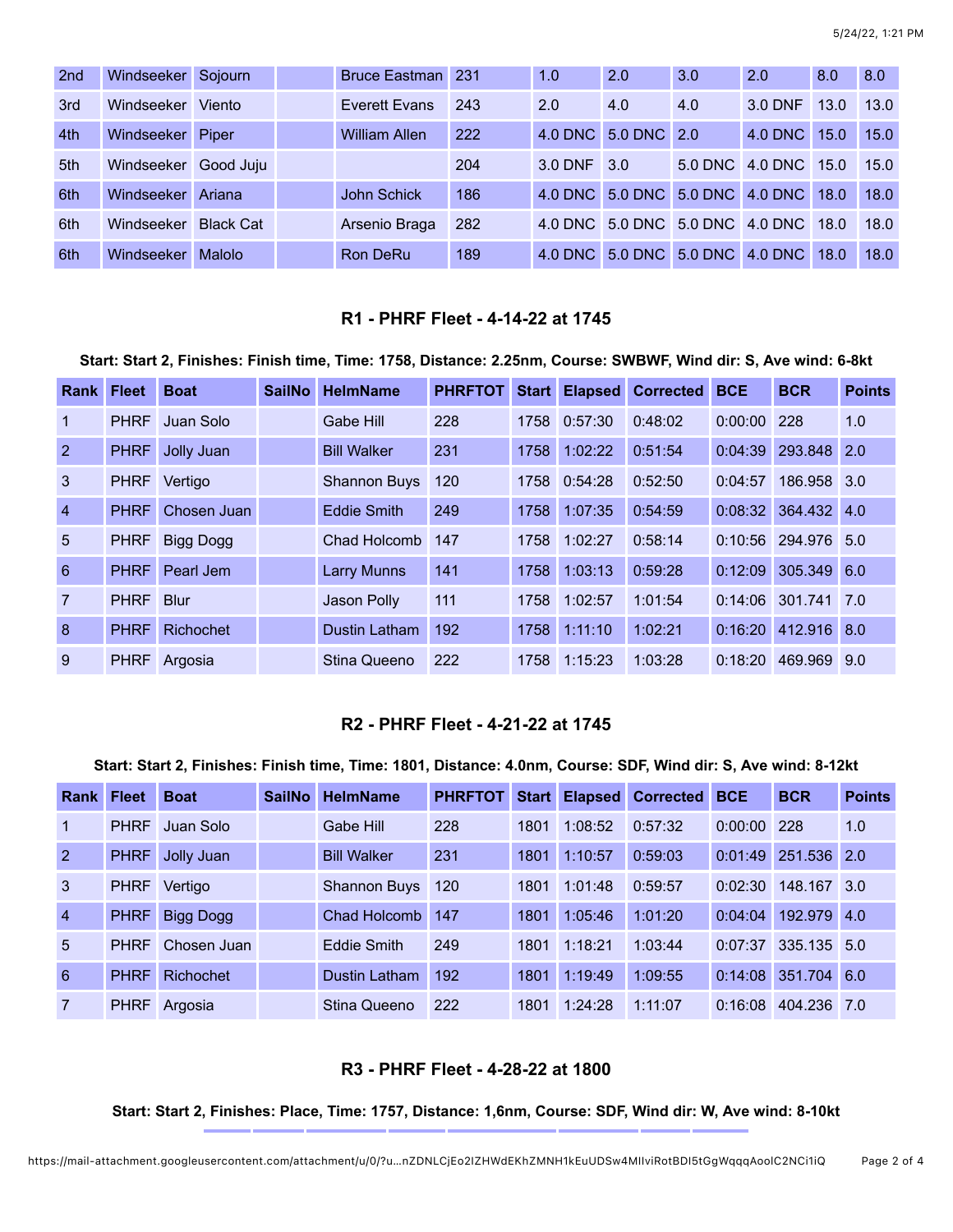| 2 <sub>nd</sub> | Windseeker | Sojourn          | Bruce Eastman 231    |     | 1.0        | 2.0                                  | 3.0 | 2.0                  | 8.0  | 8.0  |
|-----------------|------------|------------------|----------------------|-----|------------|--------------------------------------|-----|----------------------|------|------|
| 3rd             | Windseeker | Viento           | Everett Evans        | 243 | 2.0        | 4.0                                  | 4.0 | 3.0 DNF              | 13.0 | 13.0 |
| 4th             | Windseeker | Piper            | <b>William Allen</b> | 222 |            | 4.0 DNC 5.0 DNC 2.0                  |     | $4.0$ DNC            | 15.0 | 15.0 |
| 5th             | Windseeker | Good Juju        |                      | 204 | 3.0 DNF    | 3.0                                  |     | 5.0 DNC 4.0 DNC 15.0 |      | 15.0 |
| 6th             | Windseeker | Ariana           | John Schick          | 186 |            | 4.0 DNC 5.0 DNC 5.0 DNC 4.0 DNC      |     |                      | 18.0 | 18.0 |
| 6th             | Windseeker | <b>Black Cat</b> | Arsenio Braga        | 282 |            | 4.0 DNC 5.0 DNC 5.0 DNC 4.0 DNC 18.0 |     |                      |      | 18.0 |
| 6th             | Windseeker | <b>Malolo</b>    | Ron DeRu             | 189 | $4.0$ DNC. | 5.0 DNC 5.0 DNC                      |     | 4.0 DNC              | 18.0 | 18.0 |

## **R1 - PHRF Fleet - 4-14-22 at 1745**

**Start: Start 2, Finishes: Finish time, Time: 1758, Distance: 2.25nm, Course: SWBWF, Wind dir: S, Ave wind: 6-8kt**

| <b>Rank Fleet</b> |             | <b>Boat</b>      | <b>SailNo</b> | <b>HelmName</b>      | <b>PHRFTOT</b> | <b>Start</b> | <b>Elapsed</b> | <b>Corrected</b> | <b>BCE</b> | <b>BCR</b>            | <b>Points</b> |
|-------------------|-------------|------------------|---------------|----------------------|----------------|--------------|----------------|------------------|------------|-----------------------|---------------|
| $\mathbf{1}$      | <b>PHRF</b> | Juan Solo        |               | Gabe Hill            | 228            | 1758         | 0:57:30        | 0:48:02          | 0:00:00    | 228                   | 1.0           |
| 2                 | <b>PHRF</b> | Jolly Juan       |               | <b>Bill Walker</b>   | 231            | 1758         | 1:02:22        | 0:51:54          | 0:04:39    | 293.848               | $\sqrt{2.0}$  |
| $\mathbf{3}$      | <b>PHRF</b> | Vertigo          |               | <b>Shannon Buys</b>  | 120            |              | 1758 0:54:28   | 0:52:50          | 0:04:57    | 186.958 3.0           |               |
| $\overline{4}$    | <b>PHRF</b> | Chosen Juan      |               | <b>Eddie Smith</b>   | 249            | 1758         | 1:07:35        | 0:54:59          |            | $0:08:32$ 364.432 4.0 |               |
| 5                 | <b>PHRF</b> | <b>Bigg Dogg</b> |               | Chad Holcomb         | 147            | 1758         | 1:02:27        | 0:58:14          | 0:10:56    | 294.976 5.0           |               |
| 6                 | <b>PHRF</b> | Pearl Jem        |               | <b>Larry Munns</b>   | 141            | 1758         | 1:03:13        | 0:59:28          | 0:12:09    | 305.349 6.0           |               |
| $\overline{7}$    | <b>PHRF</b> | <b>Blur</b>      |               | Jason Polly          | 111            | 1758         | 1:02:57        | 1:01:54          | 0:14:06    | 301.741               | 7.0           |
| 8                 | <b>PHRF</b> | Richochet        |               | <b>Dustin Latham</b> | 192            | 1758         | 1:11:10        | 1:02:21          | 0:16:20    | 412.916 8.0           |               |
| 9                 | <b>PHRF</b> | Argosia          |               | Stina Queeno         | 222            | 1758         | 1:15:23        | 1:03:28          | 0:18:20    | 469.969               | 9.0           |

## **R2 - PHRF Fleet - 4-21-22 at 1745**

#### **Start: Start 2, Finishes: Finish time, Time: 1801, Distance: 4.0nm, Course: SDF, Wind dir: S, Ave wind: 8-12kt**

| <b>Rank Fleet</b> |             | <b>Boat</b>      | <b>SailNo</b> | <b>HelmName</b>     | <b>PHRFTOT</b> | <b>Start</b> |         | <b>Elapsed Corrected</b> | <b>BCE</b>    | <b>BCR</b>            | <b>Points</b> |
|-------------------|-------------|------------------|---------------|---------------------|----------------|--------------|---------|--------------------------|---------------|-----------------------|---------------|
| $\mathbf{1}$      | <b>PHRF</b> | Juan Solo        |               | Gabe Hill           | 228            | 1801         | 1:08:52 | 0:57:32                  | $0:00:00$ 228 |                       | 1.0           |
| <sup>2</sup>      | <b>PHRF</b> | Jolly Juan       |               | <b>Bill Walker</b>  | 231            | 1801         | 1:10:57 | 0:59:03                  | 0:01:49       | 251.536 2.0           |               |
| 3                 | <b>PHRF</b> | Vertigo          |               | <b>Shannon Buys</b> | 120            | 1801         | 1:01:48 | 0:59:57                  | 0:02:30       | 148.167               | 3.0           |
| $\overline{4}$    | <b>PHRF</b> | Bigg Dogg        |               | Chad Holcomb        | 147            | 1801         | 1:05:46 | 1:01:20                  | 0:04:04       | 192.979 4.0           |               |
| $\overline{5}$    | <b>PHRF</b> | Chosen Juan      |               | Eddie Smith         | 249            | 1801         | 1:18:21 | 1:03:44                  |               | $0:07:37$ 335.135 5.0 |               |
| 6                 | <b>PHRF</b> | <b>Richochet</b> |               | Dustin Latham       | 192            | 1801         | 1:19:49 | 1:09:55                  |               | 0:14:08 351.704 6.0   |               |
| $\overline{7}$    | <b>PHRF</b> | Argosia          |               | Stina Queeno        | 222            | 1801         | 1:24:28 | 1:11:07                  | 0:16:08       | 404.236 7.0           |               |

#### **R3 - PHRF Fleet - 4-28-22 at 1800**

#### **Start: Start 2, Finishes: Place, Time: 1757, Distance: 1,6nm, Course: SDF, Wind dir: W, Ave wind: 8-10kt**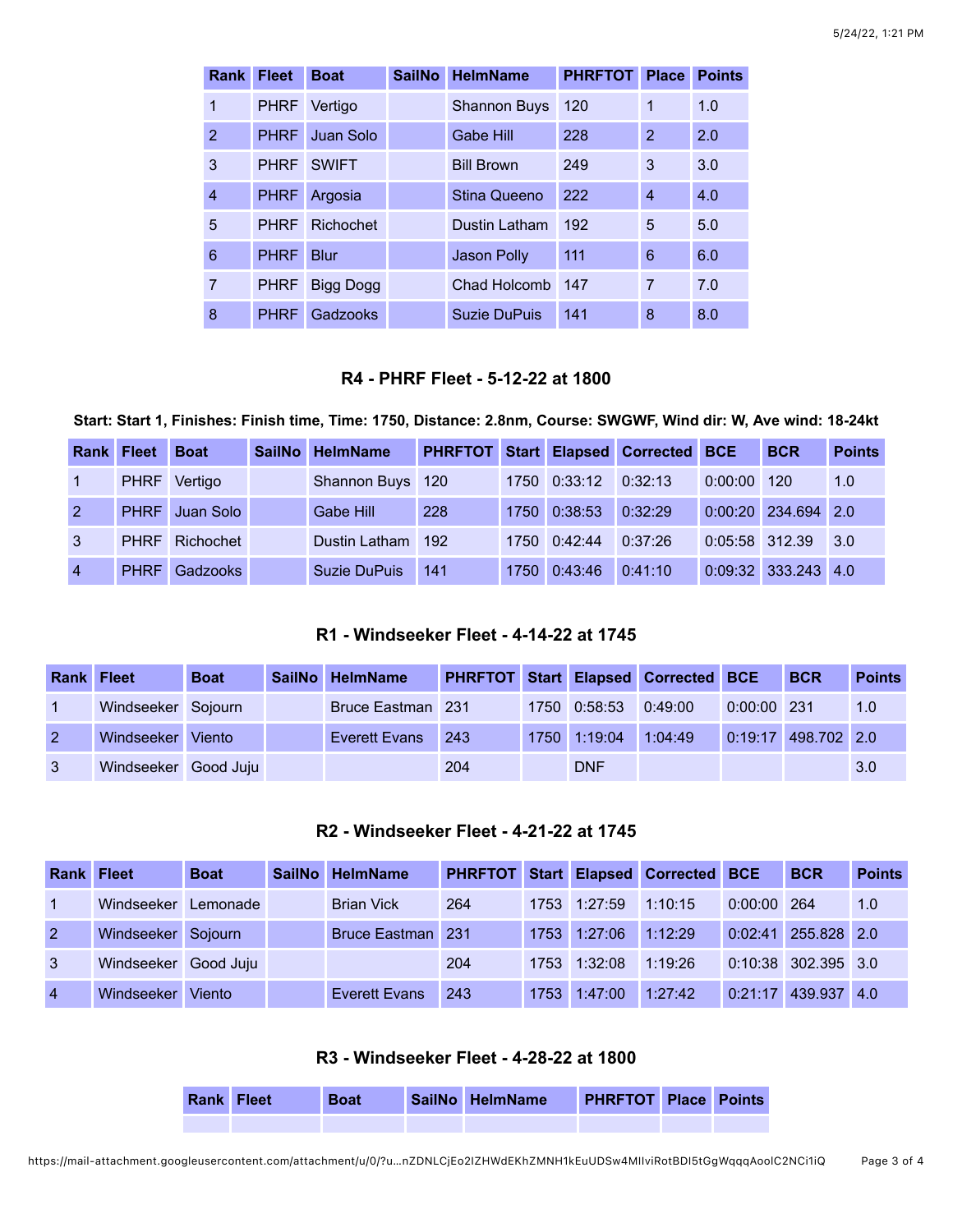| <b>Rank</b>    | <b>Fleet</b> | <b>Boat</b>      | <b>SailNo</b> | <b>HelmName</b>     | <b>PHRFTOT</b> | <b>Place</b>   | <b>Points</b> |
|----------------|--------------|------------------|---------------|---------------------|----------------|----------------|---------------|
| 1              | <b>PHRF</b>  | Vertigo          |               | <b>Shannon Buys</b> | 120            | 1              | 1.0           |
| $\overline{2}$ | <b>PHRF</b>  | Juan Solo        |               | Gabe Hill           | 228            | $\overline{2}$ | 2.0           |
| 3              | <b>PHRF</b>  | <b>SWIFT</b>     |               | <b>Bill Brown</b>   | 249            | 3              | 3.0           |
| $\overline{4}$ | <b>PHRF</b>  | Argosia          |               | Stina Queeno        | 222            | 4              | 4.0           |
| 5              | <b>PHRF</b>  | Richochet        |               | Dustin Latham       | 192            | 5              | 5.0           |
| 6              | <b>PHRF</b>  | <b>Blur</b>      |               | <b>Jason Polly</b>  | 111            | 6              | 6.0           |
| 7              | <b>PHRF</b>  | <b>Bigg Dogg</b> |               | Chad Holcomb        | 147            | $\overline{7}$ | 7.0           |
| 8              | <b>PHRF</b>  | Gadzooks         |               | Suzie DuPuis        | 141            | 8              | 8.0           |

## **R4 - PHRF Fleet - 5-12-22 at 1800**

**Start: Start 1, Finishes: Finish time, Time: 1750, Distance: 2.8nm, Course: SWGWF, Wind dir: W, Ave wind: 18-24kt**

|                | <b>Rank Fleet</b> | <b>Boat</b>           | <b>SailNo</b> | <b>HelmName</b>   |     |              | PHRFTOT Start Elapsed Corrected BCE |                | <b>BCR</b>            | <b>Points</b> |
|----------------|-------------------|-----------------------|---------------|-------------------|-----|--------------|-------------------------------------|----------------|-----------------------|---------------|
|                | <b>PHRF</b>       | Vertigo               |               | Shannon Buys 120  |     | 1750 0:33:12 | 0:32:13                             | 0:00:00        | 120                   | 1.0           |
| $\overline{2}$ |                   | PHRF Juan Solo        |               | Gabe Hill         | 228 | 1750 0:38:53 | 0:32:29                             |                | 0:00:20 234.694 2.0   |               |
|                |                   | <b>PHRF</b> Richochet |               | Dustin Latham 192 |     | 1750 0:42:44 | 0:37:26                             | 0:05:58 312.39 |                       | 3.0           |
| $\overline{4}$ | <b>PHRF</b>       | Gadzooks              |               | Suzie DuPuis      | 141 | 1750 0:43:46 | 0:41:10                             |                | $0:09:32$ 333.243 4.0 |               |

## **R1 - Windseeker Fleet - 4-14-22 at 1745**

| <b>Rank Fleet</b> |                      | <b>Boat</b> | SailNo HelmName   |     |                      | PHRFTOT Start Elapsed Corrected BCE |               | <b>BCR</b>          | <b>Points</b> |
|-------------------|----------------------|-------------|-------------------|-----|----------------------|-------------------------------------|---------------|---------------------|---------------|
|                   | Windseeker Sojourn   |             | Bruce Eastman 231 |     | 1750 0:58:53 0:49:00 |                                     | $0:00:00$ 231 |                     | 1.0           |
|                   | Windseeker Viento    |             | Everett Evans     | 243 | 1750 1:19:04         | 1:04:49                             |               | 0:19:17 498.702 2.0 |               |
|                   | Windseeker Good Juju |             |                   | 204 | <b>DNF</b>           |                                     |               |                     | 3.0           |

## **R2 - Windseeker Fleet - 4-21-22 at 1745**

| <b>Rank Fleet</b> |                      | <b>Boat</b> | SailNo HelmName      | <b>PHRFTOT</b> |              | <b>Start Elapsed Corrected BCE</b> |               | <b>BCR</b>            | <b>Points</b> |
|-------------------|----------------------|-------------|----------------------|----------------|--------------|------------------------------------|---------------|-----------------------|---------------|
|                   | Windseeker Lemonade  |             | <b>Brian Vick</b>    | 264            | 1753 1:27:59 | 1:10:15                            | $0:00:00$ 264 |                       | 1.0           |
| $\overline{2}$    | Windseeker Sojourn   |             | Bruce Eastman 231    |                | 1753 1:27:06 | 1:12:29                            |               | 0:02:41 255.828 2.0   |               |
| 3                 | Windseeker Good Juju |             |                      | 204            | 1753 1:32:08 | 1:19:26                            |               | 0:10:38 302.395 3.0   |               |
| $\overline{4}$    | Windseeker Viento    |             | <b>Everett Evans</b> | 243            | 1753 1:47:00 | 1:27:42                            |               | $0:21:17$ 439.937 4.0 |               |

## **R3 - Windseeker Fleet - 4-28-22 at 1800**

| <b>Rank Fleet</b> | <b>Boat</b> | SailNo HelmName | <b>PHRFTOT Place Points</b> |  |
|-------------------|-------------|-----------------|-----------------------------|--|
|                   |             |                 |                             |  |